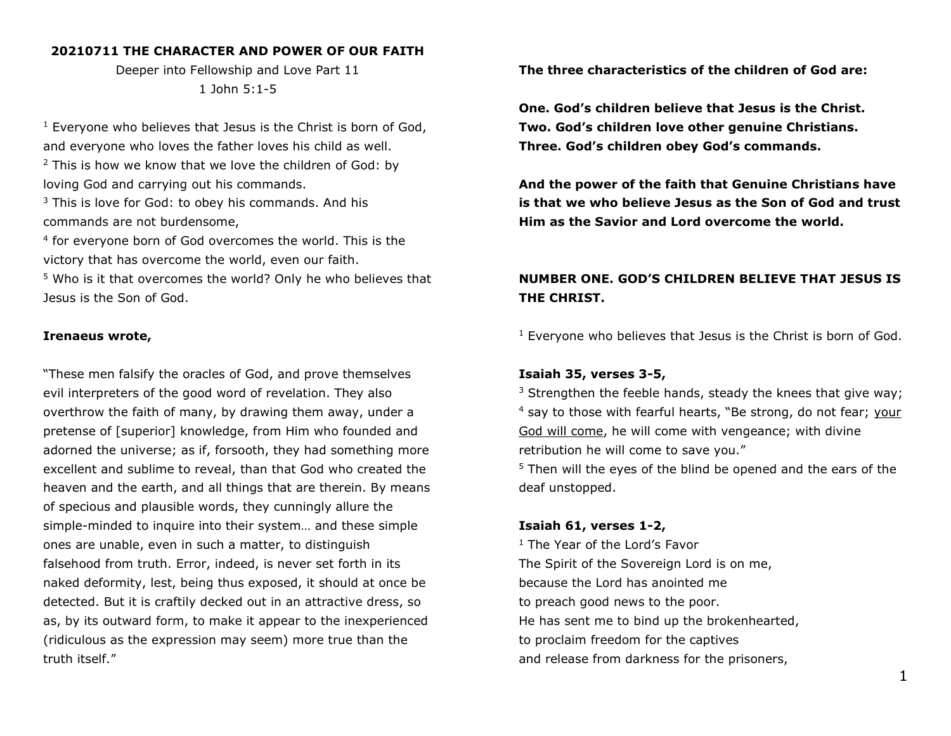#### **20210711 THE CHARACTER AND POWER OF OUR FAITH**

Deeper into Fellowship and Love Part 11 1 John 5:1-5

 $1$  Everyone who believes that Jesus is the Christ is born of God, and everyone who loves the father loves his child as well.  $2$  This is how we know that we love the children of God: by loving God and carrying out his commands.

<sup>3</sup> This is love for God: to obey his commands. And his commands are not burdensome,

<sup>4</sup> for everyone born of God overcomes the world. This is the victory that has overcome the world, even our faith.

<sup>5</sup> Who is it that overcomes the world? Only he who believes that Jesus is the Son of God.

### **Irenaeus wrote,**

"These men falsify the oracles of God, and prove themselves evil interpreters of the good word of revelation. They also overthrow the faith of many, by drawing them away, under a pretense of [superior] knowledge, from Him who founded and adorned the universe; as if, forsooth, they had something more excellent and sublime to reveal, than that God who created the heaven and the earth, and all things that are therein. By means of specious and plausible words, they cunningly allure the simple-minded to inquire into their system… and these simple ones are unable, even in such a matter, to distinguish falsehood from truth. Error, indeed, is never set forth in its naked deformity, lest, being thus exposed, it should at once be detected. But it is craftily decked out in an attractive dress, so as, by its outward form, to make it appear to the inexperienced (ridiculous as the expression may seem) more true than the truth itself."

**The three characteristics of the children of God are:** 

**One. God's children believe that Jesus is the Christ. Two. God's children love other genuine Christians. Three. God's children obey God's commands.**

**And the power of the faith that Genuine Christians have is that we who believe Jesus as the Son of God and trust Him as the Savior and Lord overcome the world.** 

# **NUMBER ONE. GOD'S CHILDREN BELIEVE THAT JESUS IS THE CHRIST.**

<sup>1</sup> Everyone who believes that Jesus is the Christ is born of God.

### **Isaiah 35, verses 3-5,**

 $3$  Strengthen the feeble hands, steady the knees that give way; <sup>4</sup> say to those with fearful hearts, "Be strong, do not fear; your God will come, he will come with vengeance; with divine retribution he will come to save you."

<sup>5</sup> Then will the eyes of the blind be opened and the ears of the deaf unstopped.

#### **Isaiah 61, verses 1-2,**

<sup>1</sup> The Year of the Lord's Favor The Spirit of the Sovereign Lord is on me, because the Lord has anointed me to preach good news to the poor. He has sent me to bind up the brokenhearted, to proclaim freedom for the captives and release from darkness for the prisoners,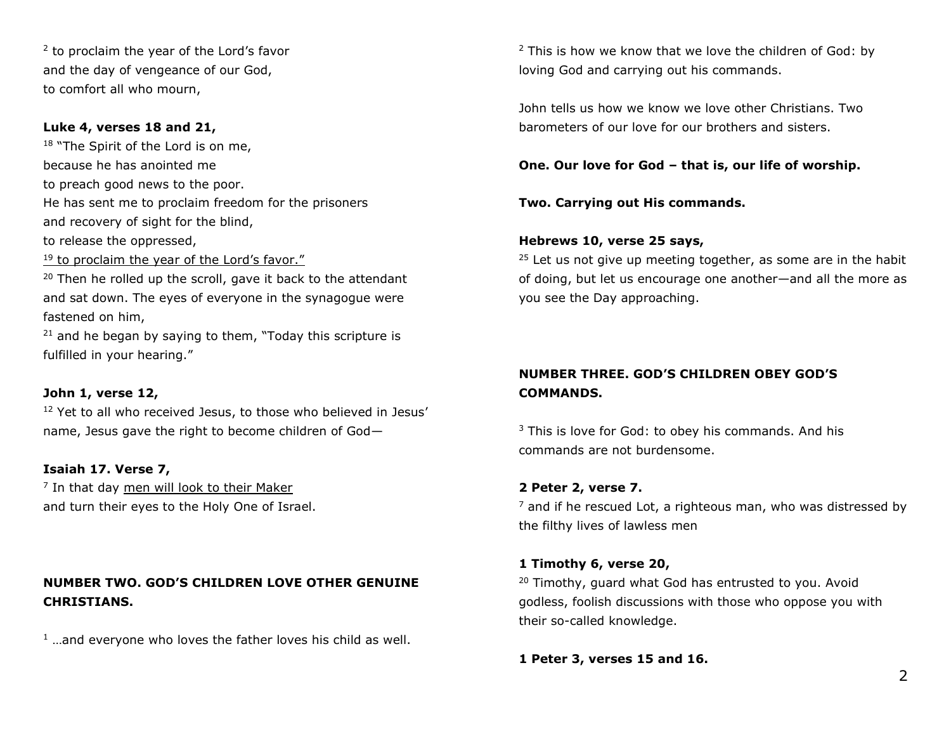<sup>2</sup> to proclaim the year of the Lord's favor and the day of vengeance of our God, to comfort all who mourn,

### **Luke 4, verses 18 and 21,**

<sup>18</sup> "The Spirit of the Lord is on me, because he has anointed me to preach good news to the poor. He has sent me to proclaim freedom for the prisoners and recovery of sight for the blind, to release the oppressed,

<sup>19</sup> to proclaim the year of the Lord's favor."

<sup>20</sup> Then he rolled up the scroll, gave it back to the attendant and sat down. The eyes of everyone in the synagogue were fastened on him,

 $21$  and he began by saying to them, "Today this scripture is fulfilled in your hearing."

### **John 1, verse 12,**

<sup>12</sup> Yet to all who received Jesus, to those who believed in Jesus' name, Jesus gave the right to become children of God—

### **Isaiah 17. Verse 7,**

<sup>7</sup> In that day men will look to their Maker and turn their eyes to the Holy One of Israel.

# **NUMBER TWO. GOD'S CHILDREN LOVE OTHER GENUINE CHRISTIANS.**

 $1$  ... and everyone who loves the father loves his child as well.

 $2$  This is how we know that we love the children of God: by loving God and carrying out his commands.

John tells us how we know we love other Christians. Two barometers of our love for our brothers and sisters.

**One. Our love for God – that is, our life of worship.**

**Two. Carrying out His commands.** 

## **Hebrews 10, verse 25 says,**

 $25$  Let us not give up meeting together, as some are in the habit of doing, but let us encourage one another—and all the more as you see the Day approaching.

# **NUMBER THREE. GOD'S CHILDREN OBEY GOD'S COMMANDS.**

<sup>3</sup> This is love for God: to obey his commands. And his commands are not burdensome.

# **2 Peter 2, verse 7.**

 $<sup>7</sup>$  and if he rescued Lot, a righteous man, who was distressed by</sup> the filthy lives of lawless men

### **1 Timothy 6, verse 20,**

<sup>20</sup> Timothy, guard what God has entrusted to you. Avoid godless, foolish discussions with those who oppose you with their so-called knowledge.

**1 Peter 3, verses 15 and 16.**